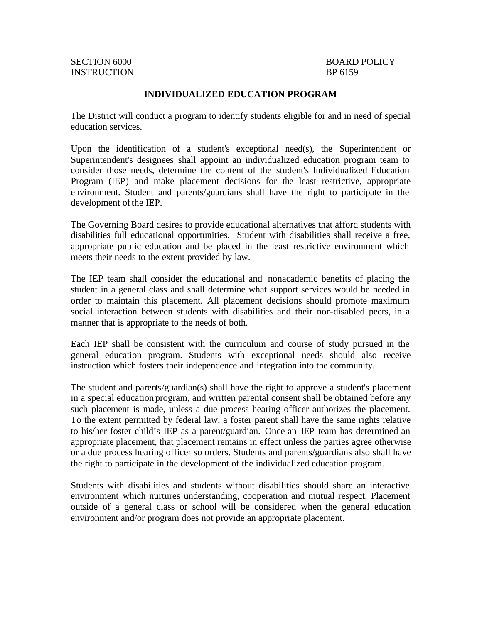INSTRUCTION BP 6159

# SECTION 6000 BOARD POLICY

#### **INDIVIDUALIZED EDUCATION PROGRAM**

The District will conduct a program to identify students eligible for and in need of special education services.

Upon the identification of a student's exceptional need(s), the Superintendent or Superintendent's designees shall appoint an individualized education program team to consider those needs, determine the content of the student's Individualized Education Program (IEP) and make placement decisions for the least restrictive, appropriate environment. Student and parents/guardians shall have the right to participate in the development of the IEP.

The Governing Board desires to provide educational alternatives that afford students with disabilities full educational opportunities. Student with disabilities shall receive a free, appropriate public education and be placed in the least restrictive environment which meets their needs to the extent provided by law.

The IEP team shall consider the educational and nonacademic benefits of placing the student in a general class and shall determine what support services would be needed in order to maintain this placement. All placement decisions should promote maximum social interaction between students with disabilities and their non-disabled peers, in a manner that is appropriate to the needs of both.

Each IEP shall be consistent with the curriculum and course of study pursued in the general education program. Students with exceptional needs should also receive instruction which fosters their independence and integration into the community.

The student and parents/guardian(s) shall have the right to approve a student's placement in a special education program, and written parental consent shall be obtained before any such placement is made, unless a due process hearing officer authorizes the placement. To the extent permitted by federal law, a foster parent shall have the same rights relative to his/her foster child's IEP as a parent/guardian. Once an IEP team has determined an appropriate placement, that placement remains in effect unless the parties agree otherwise or a due process hearing officer so orders. Students and parents/guardians also shall have the right to participate in the development of the individualized education program.

Students with disabilities and students without disabilities should share an interactive environment which nurtures understanding, cooperation and mutual respect. Placement outside of a general class or school will be considered when the general education environment and/or program does not provide an appropriate placement.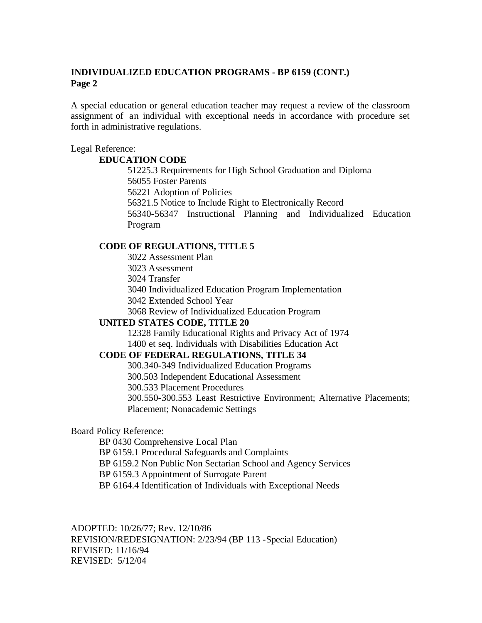A special education or general education teacher may request a review of the classroom assignment of an individual with exceptional needs in accordance with procedure set forth in administrative regulations.

Legal Reference:

#### **EDUCATION CODE**

51225.3 Requirements for High School Graduation and Diploma 56055 Foster Parents 56221 Adoption of Policies 56321.5 Notice to Include Right to Electronically Record 56340-56347 Instructional Planning and Individualized Education Program

## **CODE OF REGULATIONS, TITLE 5**

3022 Assessment Plan

3023 Assessment

3024 Transfer

3040 Individualized Education Program Implementation

3042 Extended School Year

3068 Review of Individualized Education Program

## **UNITED STATES CODE, TITLE 20**

12328 Family Educational Rights and Privacy Act of 1974 1400 et seq. Individuals with Disabilities Education Act

## **CODE OF FEDERAL REGULATIONS, TITLE 34**

300.340-349 Individualized Education Programs

300.503 Independent Educational Assessment

300.533 Placement Procedures

300.550-300.553 Least Restrictive Environment; Alternative Placements;

Placement; Nonacademic Settings

## Board Policy Reference:

BP 0430 Comprehensive Local Plan

BP 6159.1 Procedural Safeguards and Complaints

BP 6159.2 Non Public Non Sectarian School and Agency Services

BP 6159.3 Appointment of Surrogate Parent

BP 6164.4 Identification of Individuals with Exceptional Needs

ADOPTED: 10/26/77; Rev. 12/10/86

REVISION/REDESIGNATION: 2/23/94 (BP 113 -Special Education) REVISED: 11/16/94 REVISED: 5/12/04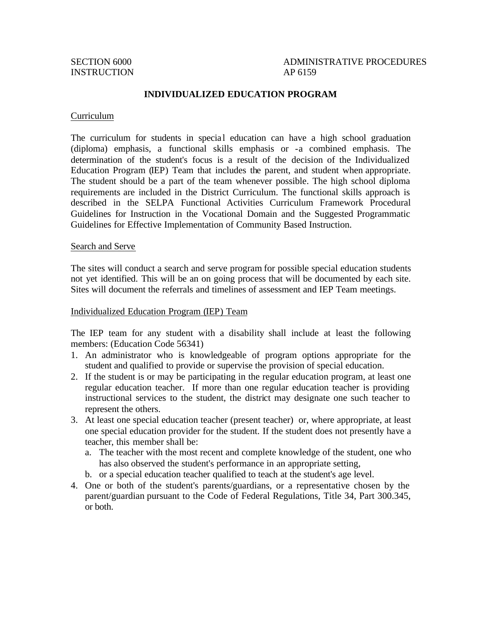# SECTION 6000 ADMINISTRATIVE PROCEDURES

#### **INDIVIDUALIZED EDUCATION PROGRAM**

#### Curriculum

The curriculum for students in special education can have a high school graduation (diploma) emphasis, a functional skills emphasis or -a combined emphasis. The determination of the student's focus is a result of the decision of the Individualized Education Program (IEP) Team that includes the parent, and student when appropriate. The student should be a part of the team whenever possible. The high school diploma requirements are included in the District Curriculum. The functional skills approach is described in the SELPA Functional Activities Curriculum Framework Procedural Guidelines for Instruction in the Vocational Domain and the Suggested Programmatic Guidelines for Effective Implementation of Community Based Instruction.

#### Search and Serve

The sites will conduct a search and serve program for possible special education students not yet identified. This will be an on going process that will be documented by each site. Sites will document the referrals and timelines of assessment and IEP Team meetings.

#### Individualized Education Program (IEP) Team

The IEP team for any student with a disability shall include at least the following members: (Education Code 56341)

- 1. An administrator who is knowledgeable of program options appropriate for the student and qualified to provide or supervise the provision of special education.
- 2. If the student is or may be participating in the regular education program, at least one regular education teacher. If more than one regular education teacher is providing instructional services to the student, the district may designate one such teacher to represent the others.
- 3. At least one special education teacher (present teacher) or, where appropriate, at least one special education provider for the student. If the student does not presently have a teacher, this member shall be:
	- a. The teacher with the most recent and complete knowledge of the student, one who has also observed the student's performance in an appropriate setting,
	- b. or a special education teacher qualified to teach at the student's age level.
- 4. One or both of the student's parents/guardians, or a representative chosen by the parent/guardian pursuant to the Code of Federal Regulations, Title 34, Part 300.345, or both.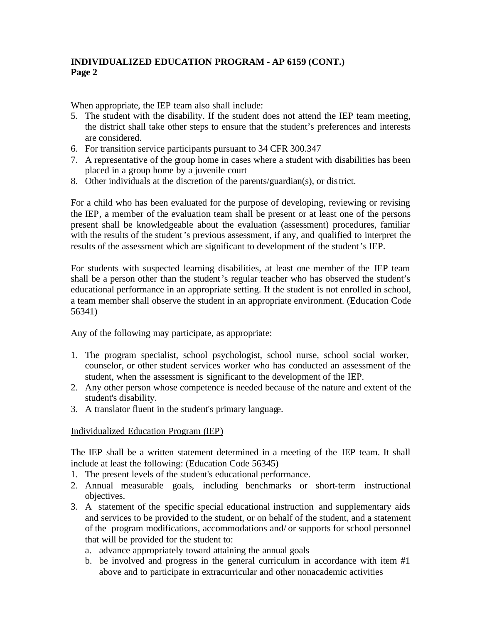When appropriate, the IEP team also shall include:

- 5. The student with the disability. If the student does not attend the IEP team meeting, the district shall take other steps to ensure that the student's preferences and interests are considered.
- 6. For transition service participants pursuant to 34 CFR 300.347
- 7. A representative of the group home in cases where a student with disabilities has been placed in a group home by a juvenile court
- 8. Other individuals at the discretion of the parents/guardian(s), or district.

For a child who has been evaluated for the purpose of developing, reviewing or revising the IEP, a member of the evaluation team shall be present or at least one of the persons present shall be knowledgeable about the evaluation (assessment) procedures, familiar with the results of the student's previous assessment, if any, and qualified to interpret the results of the assessment which are significant to development of the student's IEP.

For students with suspected learning disabilities, at least one member of the IEP team shall be a person other than the student's regular teacher who has observed the student's educational performance in an appropriate setting. If the student is not enrolled in school, a team member shall observe the student in an appropriate environment. (Education Code 56341)

Any of the following may participate, as appropriate:

- 1. The program specialist, school psychologist, school nurse, school social worker, counselor, or other student services worker who has conducted an assessment of the student, when the assessment is significant to the development of the IEP.
- 2. Any other person whose competence is needed because of the nature and extent of the student's disability.
- 3. A translator fluent in the student's primary language.

## Individualized Education Program (IEP)

The IEP shall be a written statement determined in a meeting of the IEP team. It shall include at least the following: (Education Code 56345)

- 1. The present levels of the student's educational performance.
- 2. Annual measurable goals, including benchmarks or short-term instructional objectives.
- 3. A statement of the specific special educational instruction and supplementary aids and services to be provided to the student, or on behalf of the student, and a statement of the program modifications, accommodations and/ or supports for school personnel that will be provided for the student to:
	- a. advance appropriately toward attaining the annual goals
	- b. be involved and progress in the general curriculum in accordance with item #1 above and to participate in extracurricular and other nonacademic activities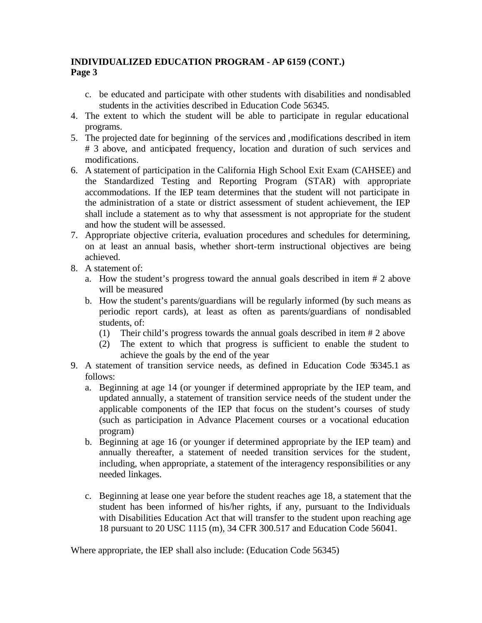- c. be educated and participate with other students with disabilities and nondisabled students in the activities described in Education Code 56345.
- 4. The extent to which the student will be able to participate in regular educational programs.
- 5. The projected date for beginning of the services and ,modifications described in item # 3 above, and anticipated frequency, location and duration of such services and modifications.
- 6. A statement of participation in the California High School Exit Exam (CAHSEE) and the Standardized Testing and Reporting Program (STAR) with appropriate accommodations. If the IEP team determines that the student will not participate in the administration of a state or district assessment of student achievement, the IEP shall include a statement as to why that assessment is not appropriate for the student and how the student will be assessed.
- 7. Appropriate objective criteria, evaluation procedures and schedules for determining, on at least an annual basis, whether short-term instructional objectives are being achieved.
- 8. A statement of:
	- a. How the student's progress toward the annual goals described in item # 2 above will be measured
	- b. How the student's parents/guardians will be regularly informed (by such means as periodic report cards), at least as often as parents/guardians of nondisabled students, of:
		- (1) Their child's progress towards the annual goals described in item # 2 above
		- (2) The extent to which that progress is sufficient to enable the student to achieve the goals by the end of the year
- 9. A statement of transition service needs, as defined in Education Code 56345.1 as follows:
	- a. Beginning at age 14 (or younger if determined appropriate by the IEP team, and updated annually, a statement of transition service needs of the student under the applicable components of the IEP that focus on the student's courses of study (such as participation in Advance Placement courses or a vocational education program)
	- b. Beginning at age 16 (or younger if determined appropriate by the IEP team) and annually thereafter, a statement of needed transition services for the student, including, when appropriate, a statement of the interagency responsibilities or any needed linkages.
	- c. Beginning at lease one year before the student reaches age 18, a statement that the student has been informed of his/her rights, if any, pursuant to the Individuals with Disabilities Education Act that will transfer to the student upon reaching age 18 pursuant to 20 USC 1115 (m), 34 CFR 300.517 and Education Code 56041.

Where appropriate, the IEP shall also include: (Education Code 56345)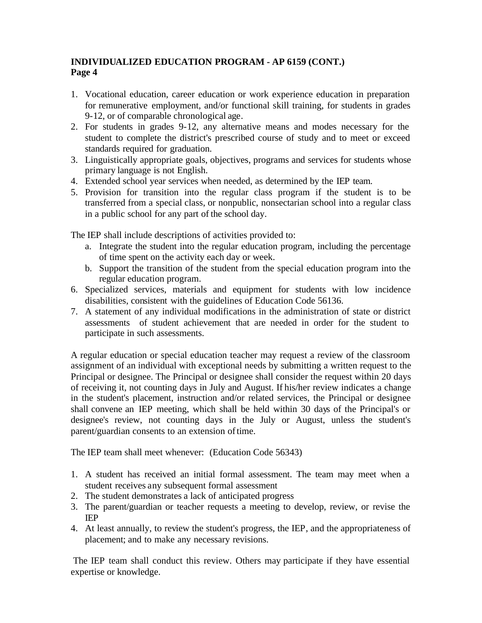- 1. Vocational education, career education or work experience education in preparation for remunerative employment, and/or functional skill training, for students in grades 9-12, or of comparable chronological age.
- 2. For students in grades 9-12, any alternative means and modes necessary for the student to complete the district's prescribed course of study and to meet or exceed standards required for graduation.
- 3. Linguistically appropriate goals, objectives, programs and services for students whose primary language is not English.
- 4. Extended school year services when needed, as determined by the IEP team.
- 5. Provision for transition into the regular class program if the student is to be transferred from a special class, or nonpublic, nonsectarian school into a regular class in a public school for any part of the school day.

The IEP shall include descriptions of activities provided to:

- a. Integrate the student into the regular education program, including the percentage of time spent on the activity each day or week.
- b. Support the transition of the student from the special education program into the regular education program.
- 6. Specialized services, materials and equipment for students with low incidence disabilities, consistent with the guidelines of Education Code 56136.
- 7. A statement of any individual modifications in the administration of state or district assessments of student achievement that are needed in order for the student to participate in such assessments.

A regular education or special education teacher may request a review of the classroom assignment of an individual with exceptional needs by submitting a written request to the Principal or designee. The Principal or designee shall consider the request within 20 days of receiving it, not counting days in July and August. If his/her review indicates a change in the student's placement, instruction and/or related services, the Principal or designee shall convene an IEP meeting, which shall be held within 30 days of the Principal's or designee's review, not counting days in the July or August, unless the student's parent/guardian consents to an extension of time.

The IEP team shall meet whenever: (Education Code 56343)

- 1. A student has received an initial formal assessment. The team may meet when a student receives any subsequent formal assessment
- 2. The student demonstrates a lack of anticipated progress
- 3. The parent/guardian or teacher requests a meeting to develop, review, or revise the IEP
- 4. At least annually, to review the student's progress, the IEP, and the appropriateness of placement; and to make any necessary revisions.

 The IEP team shall conduct this review. Others may participate if they have essential expertise or knowledge.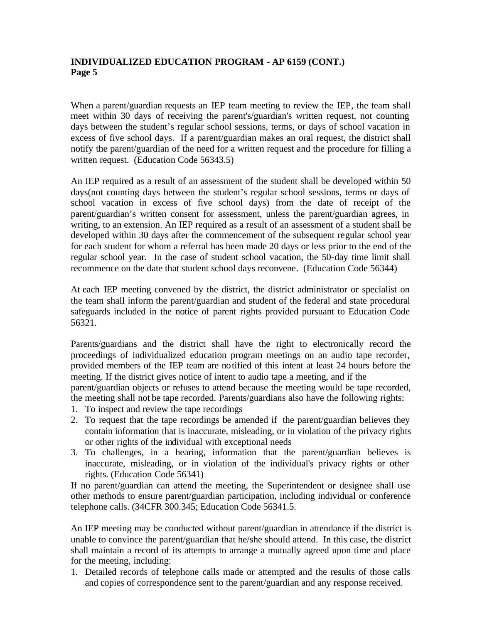When a parent/guardian requests an IEP team meeting to review the IEP, the team shall meet within 30 days of receiving the parent's/guardian's written request, not counting days between the student's regular school sessions, terms, or days of school vacation in excess of five school days. If a parent/guardian makes an oral request, the district shall notify the parent/guardian of the need for a written request and the procedure for filling a written request. (Education Code 56343.5)

An IEP required as a result of an assessment of the student shall be developed within 50 days(not counting days between the student's regular school sessions, terms or days of school vacation in excess of five school days) from the date of receipt of the parent/guardian's written consent for assessment, unless the parent/guardian agrees, in writing, to an extension. An IEP required as a result of an assessment of a student shall be developed within 30 days after the commencement of the subsequent regular school year for each student for whom a referral has been made 20 days or less prior to the end of the regular school year. In the case of student school vacation, the 50-day time limit shall recommence on the date that student school days reconvene. (Education Code 56344)

At each IEP meeting convened by the district, the district administrator or specialist on the team shall inform the parent/guardian and student of the federal and state procedural safeguards included in the notice of parent rights provided pursuant to Education Code 56321.

Parents/guardians and the district shall have the right to electronically record the proceedings of individualized education program meetings on an audio tape recorder, provided members of the IEP team are notified of this intent at least 24 hours before the meeting. If the district gives notice of intent to audio tape a meeting, and if the parent/guardian objects or refuses to attend because the meeting would be tape recorded, the meeting shall not be tape recorded. Parents/guardians also have the following rights:

- 1. To inspect and review the tape recordings
- 2. To request that the tape recordings be amended if the parent/guardian believes they contain information that is inaccurate, misleading, or in violation of the privacy rights or other rights of the individual with exceptional needs
- 3. To challenges, in a hearing, information that the parent/guardian believes is inaccurate, misleading, or in violation of the individual's privacy rights or other rights. (Education Code 56341)

If no parent/guardian can attend the meeting, the Superintendent or designee shall use other methods to ensure parent/guardian participation, including individual or conference telephone calls. (34CFR 300.345; Education Code 56341.5.

An IEP meeting may be conducted without parent/guardian in attendance if the district is unable to convince the parent/guardian that he/she should attend. In this case, the district shall maintain a record of its attempts to arrange a mutually agreed upon time and place for the meeting, including:

1. Detailed records of telephone calls made or attempted and the results of those calls and copies of correspondence sent to the parent/guardian and any response received.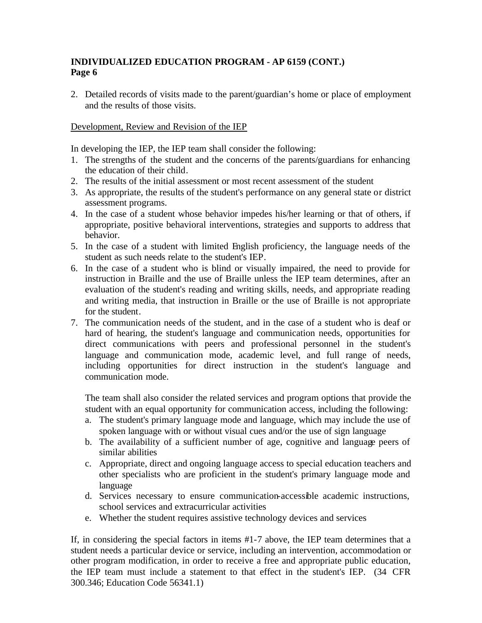2. Detailed records of visits made to the parent/guardian's home or place of employment and the results of those visits.

## Development, Review and Revision of the IEP

In developing the IEP, the IEP team shall consider the following:

- 1. The strengths of the student and the concerns of the parents/guardians for enhancing the education of their child.
- 2. The results of the initial assessment or most recent assessment of the student
- 3. As appropriate, the results of the student's performance on any general state or district assessment programs.
- 4. In the case of a student whose behavior impedes his/her learning or that of others, if appropriate, positive behavioral interventions, strategies and supports to address that behavior.
- 5. In the case of a student with limited English proficiency, the language needs of the student as such needs relate to the student's IEP.
- 6. In the case of a student who is blind or visually impaired, the need to provide for instruction in Braille and the use of Braille unless the IEP team determines, after an evaluation of the student's reading and writing skills, needs, and appropriate reading and writing media, that instruction in Braille or the use of Braille is not appropriate for the student.
- 7. The communication needs of the student, and in the case of a student who is deaf or hard of hearing, the student's language and communication needs, opportunities for direct communications with peers and professional personnel in the student's language and communication mode, academic level, and full range of needs, including opportunities for direct instruction in the student's language and communication mode.

The team shall also consider the related services and program options that provide the student with an equal opportunity for communication access, including the following:

- a. The student's primary language mode and language, which may include the use of spoken language with or without visual cues and/or the use of sign language
- b. The availability of a sufficient number of age, cognitive and language peers of similar abilities
- c. Appropriate, direct and ongoing language access to special education teachers and other specialists who are proficient in the student's primary language mode and language
- d. Services necessary to ensure communication-accessible academic instructions, school services and extracurricular activities
- e. Whether the student requires assistive technology devices and services

If, in considering the special factors in items #1-7 above, the IEP team determines that a student needs a particular device or service, including an intervention, accommodation or other program modification, in order to receive a free and appropriate public education, the IEP team must include a statement to that effect in the student's IEP. (34 CFR 300.346; Education Code 56341.1)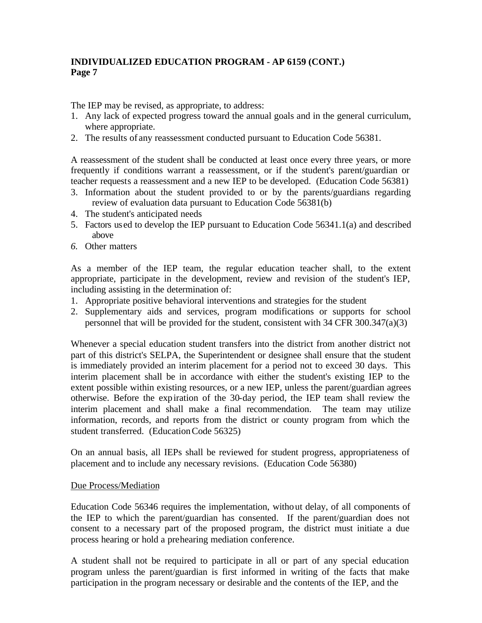The IEP may be revised, as appropriate, to address:

- 1. Any lack of expected progress toward the annual goals and in the general curriculum, where appropriate.
- 2. The results of any reassessment conducted pursuant to Education Code 56381.

A reassessment of the student shall be conducted at least once every three years, or more frequently if conditions warrant a reassessment, or if the student's parent/guardian or teacher requests a reassessment and a new IEP to be developed. (Education Code 56381)

- 3. Information about the student provided to or by the parents/guardians regarding review of evaluation data pursuant to Education Code 56381(b)
- 4. The student's anticipated needs
- 5. Factors used to develop the IEP pursuant to Education Code 56341.1(a) and described above
- *6.* Other matters

As a member of the IEP team, the regular education teacher shall, to the extent appropriate, participate in the development, review and revision of the student's IEP, including assisting in the determination of:

- 1. Appropriate positive behavioral interventions and strategies for the student
- 2. Supplementary aids and services, program modifications or supports for school personnel that will be provided for the student, consistent with 34 CFR 300.347(a)(3)

Whenever a special education student transfers into the district from another district not part of this district's SELPA, the Superintendent or designee shall ensure that the student is immediately provided an interim placement for a period not to exceed 30 days. This interim placement shall be in accordance with either the student's existing IEP to the extent possible within existing resources, or a new IEP, unless the parent/guardian agrees otherwise. Before the expiration of the 30-day period, the IEP team shall review the interim placement and shall make a final recommendation. The team may utilize information, records, and reports from the district or county program from which the student transferred. (Education Code 56325)

On an annual basis, all IEPs shall be reviewed for student progress, appropriateness of placement and to include any necessary revisions. (Education Code 56380)

## Due Process/Mediation

Education Code 56346 requires the implementation, without delay, of all components of the IEP to which the parent/guardian has consented. If the parent/guardian does not consent to a necessary part of the proposed program, the district must initiate a due process hearing or hold a prehearing mediation conference.

A student shall not be required to participate in all or part of any special education program unless the parent/guardian is first informed in writing of the facts that make participation in the program necessary or desirable and the contents of the IEP, and the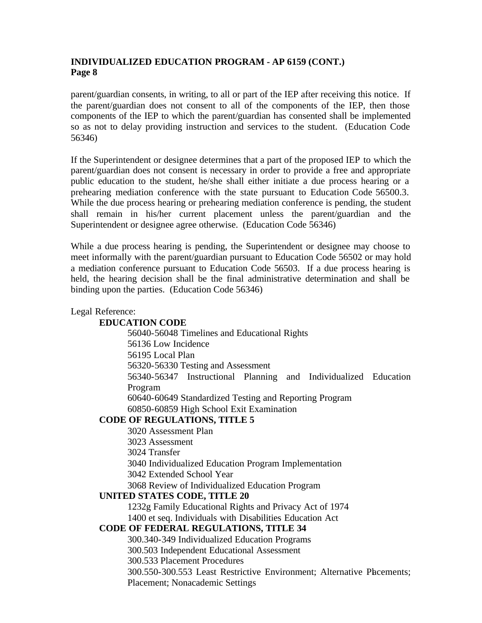parent/guardian consents, in writing, to all or part of the IEP after receiving this notice. If the parent/guardian does not consent to all of the components of the IEP, then those components of the IEP to which the parent/guardian has consented shall be implemented so as not to delay providing instruction and services to the student. (Education Code 56346)

If the Superintendent or designee determines that a part of the proposed IEP to which the parent/guardian does not consent is necessary in order to provide a free and appropriate public education to the student, he/she shall either initiate a due process hearing or a prehearing mediation conference with the state pursuant to Education Code 56500.3. While the due process hearing or prehearing mediation conference is pending, the student shall remain in his/her current placement unless the parent/guardian and the Superintendent or designee agree otherwise. (Education Code 56346)

While a due process hearing is pending, the Superintendent or designee may choose to meet informally with the parent/guardian pursuant to Education Code 56502 or may hold a mediation conference pursuant to Education Code 56503. If a due process hearing is held, the hearing decision shall be the final administrative determination and shall be binding upon the parties. (Education Code 56346)

# Legal Reference: **EDUCATION CODE** 56040-56048 Timelines and Educational Rights 56136 Low Incidence 56195 Local Plan 56320-56330 Testing and Assessment 56340-56347 Instructional Planning and Individualized Education Program 60640-60649 Standardized Testing and Reporting Program 60850-60859 High School Exit Examination **CODE OF REGULATIONS, TITLE 5** 3020 Assessment Plan

3023 Assessment 3024 Transfer 3040 Individualized Education Program Implementation 3042 Extended School Year 3068 Review of Individualized Education Program

## **UNITED STATES CODE, TITLE 20**

1232g Family Educational Rights and Privacy Act of 1974

1400 et seq. Individuals with Disabilities Education Act

## **CODE OF FEDERAL REGULATIONS, TITLE 34**

300.340-349 Individualized Education Programs

300.503 Independent Educational Assessment

300.533 Placement Procedures

300.550-300.553 Least Restrictive Environment; Alternative Placements; Placement; Nonacademic Settings